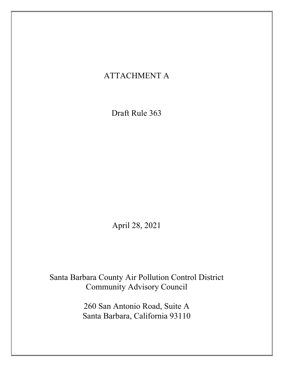# ATTACHMENT A

Draft Rule 363

April 28, 2021

Santa Barbara County Air Pollution Control District Community Advisory Council

> 260 San Antonio Road, Suite A Santa Barbara, California 93110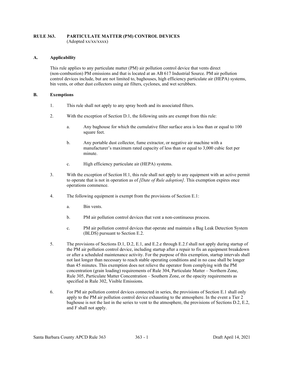#### RULE 363. PARTICULATE MATTER (PM) CONTROL DEVICES (Adopted xx/xx/xxxx)

#### A. Applicability

This rule applies to any particulate matter (PM) air pollution control device that vents direct (non-combustion) PM emissions and that is located at an AB 617 Industrial Source. PM air pollution control devices include, but are not limited to, baghouses, high efficiency particulate air (HEPA) systems, bin vents, or other dust collectors using air filters, cyclones, and wet scrubbers.

#### B. Exemptions

- 1. This rule shall not apply to any spray booth and its associated filters.
- 2. With the exception of Section D.1, the following units are exempt from this rule:
	- a. Any baghouse for which the cumulative filter surface area is less than or equal to 100 square feet.
	- b. Any portable dust collector, fume extractor, or negative air machine with a manufacturer's maximum rated capacity of less than or equal to 3,000 cubic feet per minute.
	- c. High efficiency particulate air (HEPA) systems.
- 3. With the exception of Section H.1, this rule shall not apply to any equipment with an active permit to operate that is not in operation as of *[Date of Rule adoption]*. This exemption expires once operations commence.
- 4. The following equipment is exempt from the provisions of Section E.1:
	- a. Bin vents.
	- b. PM air pollution control devices that vent a non-continuous process.
	- c. PM air pollution control devices that operate and maintain a Bag Leak Detection System (BLDS) pursuant to Section E.2.
- 5. The provisions of Sections D.1, D.2, E.1, and E.2.e through E.2.f shall not apply during startup of the PM air pollution control device, including startup after a repair to fix an equipment breakdown or after a scheduled maintenance activity. For the purpose of this exemption, startup intervals shall not last longer than necessary to reach stable operating conditions and in no case shall be longer than 45 minutes. This exemption does not relieve the operator from complying with the PM concentration (grain loading) requirements of Rule 304, Particulate Matter – Northern Zone, Rule 305, Particulate Matter Concentration – Southern Zone, or the opacity requirements as specified in Rule 302, Visible Emissions.
- 6. For PM air pollution control devices connected in series, the provisions of Section E.1 shall only apply to the PM air pollution control device exhausting to the atmosphere. In the event a Tier 2 baghouse is not the last in the series to vent to the atmosphere, the provisions of Sections D.2, E.2, and F shall not apply.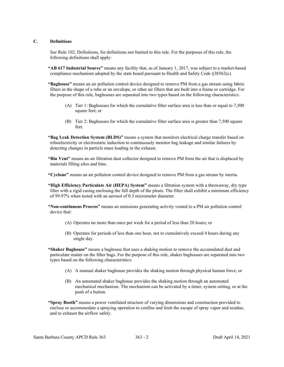#### C. Definitions

See Rule 102, Definitions, for definitions not limited to this rule. For the purposes of this rule, the following definitions shall apply:

"AB 617 Industrial Source" means any facility that, as of January  $1, 2017$ , was subject to a market-based compliance mechanism adopted by the state board pursuant to Health and Safety Code §38562(c).

"Baghouse" means an air pollution control device designed to remove PM from a gas stream using fabric filters in the shape of a tube or an envelope, or other air filters that are built into a frame or cartridge. For the purpose of this rule, baghouses are separated into two types based on the following characteristics:

- (A) Tier 1: Baghouses for which the cumulative filter surface area is less than or equal to 7,500 square feet; or
- (B) Tier 2: Baghouses for which the cumulative filter surface area is greater than 7,500 square feet.

"Bag Leak Detection System (BLDS)" means a system that monitors electrical charge transfer based on triboelectricity or electrostatic induction to continuously monitor bag leakage and similar failures by detecting changes in particle mass loading in the exhaust.

"Bin Vent" means an air filtration dust collector designed to remove PM from the air that is displaced by materials filling silos and bins.

"Cyclone" means an air pollution control device designed to remove PM from a gas stream by inertia.

"High Efficiency Particulate Air (HEPA) System" means a filtration system with a throwaway, dry type filter with a rigid casing enclosing the full depth of the pleats. The filter shall exhibit a minimum efficiency of 99.97% when tested with an aerosol of 0.3 micrometer diameter.

"Non-continuous Process" means an emissions generating activity vented to a PM air pollution control device that:

- (A) Operates no more than once per week for a period of less than 20 hours; or
- (B) Operates for periods of less than one hour, not to cumulatively exceed 4 hours during any single day.

"Shaker Baghouse" means a baghouse that uses a shaking motion to remove the accumulated dust and particulate matter on the filter bags. For the purpose of this rule, shaker baghouses are separated into two types based on the following characteristics:

- (A) A manual shaker baghouse provides the shaking motion through physical human force; or
- (B) An automated shaker baghouse provides the shaking motion through an automated mechanical mechanism. The mechanism can be activated by a timer, system setting, or at the push of a button.

"Spray Booth" means a power ventilated structure of varying dimensions and construction provided to enclose or accommodate a spraying operation to confine and limit the escape of spray vapor and residue, and to exhaust the airflow safely.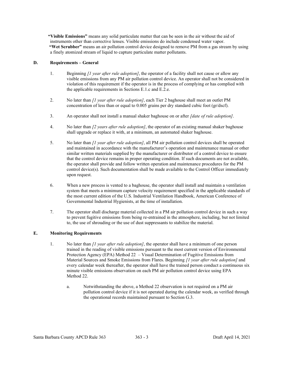"Visible Emissions" means any solid particulate matter that can be seen in the air without the aid of instruments other than corrective lenses. Visible emissions do include condensed water vapor. "Wet Scrubber" means an air pollution control device designed to remove PM from a gas stream by using a finely atomized stream of liquid to capture particulate matter pollutants.

## D. Requirements – General

- 1. Beginning *[1 year after rule adoption]*, the operator of a facility shall not cause or allow any visible emissions from any PM air pollution control device. An operator shall not be considered in violation of this requirement if the operator is in the process of complying or has complied with the applicable requirements in Sections E.1.c and E.2.e.
- 2. No later than *[1 year after rule adoption]*, each Tier 2 baghouse shall meet an outlet PM concentration of less than or equal to 0.005 grains per dry standard cubic foot (gr/dscf).
- 3. An operator shall not install a manual shaker baghouse on or after *[date of rule adoption]*.
- 4. No later than *[2 years after rule adoption]*, the operator of an existing manual shaker baghouse shall upgrade or replace it with, at a minimum, an automated shaker baghouse.
- 5. No later than [1 year after rule adoption], all PM air pollution control devices shall be operated and maintained in accordance with the manufacturer's operation and maintenance manual or other similar written materials supplied by the manufacturer or distributor of a control device to ensure that the control device remains in proper operating condition. If such documents are not available, the operator shall provide and follow written operation and maintenance procedures for the PM control device(s). Such documentation shall be made available to the Control Officer immediately upon request.
- 6. When a new process is vented to a baghouse, the operator shall install and maintain a ventilation system that meets a minimum capture velocity requirement specified in the applicable standards of the most current edition of the U.S. Industrial Ventilation Handbook, American Conference of Governmental Industrial Hygienists, at the time of installation.
- 7. The operator shall discharge material collected in a PM air pollution control device in such a way to prevent fugitive emissions from being re-entrained in the atmosphere, including, but not limited to, the use of shrouding or the use of dust suppressants to stabilize the material.

## E. Monitoring Requirements

- 1. No later than *[1 year after rule adoption]*, the operator shall have a minimum of one person trained in the reading of visible emissions pursuant to the most current version of Environmental Protection Agency (EPA) Method 22 – Visual Determination of Fugitive Emissions from Material Sources and Smoke Emissions from Flares. Beginning [1 year after rule adoption] and every calendar week thereafter, the operator shall have the trained person conduct a continuous six minute visible emissions observation on each PM air pollution control device using EPA Method 22.
	- a. Notwithstanding the above, a Method 22 observation is not required on a PM air pollution control device if it is not operated during the calendar week, as verified through the operational records maintained pursuant to Section G.3.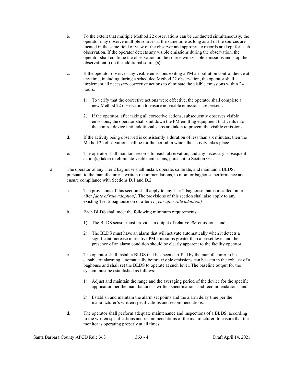- b. To the extent that multiple Method 22 observations can be conducted simultaneously, the operator may observe multiple sources at the same time as long as all of the sources are located in the same field of view of the observer and appropriate records are kept for each observation. If the operator detects any visible emissions during the observation, the operator shall continue the observation on the source with visible emissions and stop the observation(s) on the additional source(s).
- c. If the operator observes any visible emissions exiting a PM air pollution control device at any time, including during a scheduled Method 22 observation, the operator shall implement all necessary corrective actions to eliminate the visible emissions within 24 hours.
	- 1) To verify that the corrective actions were effective, the operator shall complete a new Method 22 observation to ensure no visible emissions are present.
	- 2) If the operator, after taking all corrective actions, subsequently observes visible emissions, the operator shall shut down the PM emitting equipment that vents into the control device until additional steps are taken to prevent the visible emissions.
- d. If the activity being observed is consistently a duration of less than six minutes, then the Method 22 observation shall be for the period in which the activity takes place.
- e. The operator shall maintain records for each observation, and any necessary subsequent action(s) taken to eliminate visible emissions, pursuant to Section G.1.
- 2. The operator of any Tier 2 baghouse shall install, operate, calibrate, and maintain a BLDS, pursuant to the manufacturer's written recommendations, to monitor baghouse performance and ensure compliance with Sections D.1 and D.2.
	- a. The provisions of this section shall apply to any Tier 2 baghouse that is installed on or after *[date of rule adoption]*. The provisions of this section shall also apply to any existing Tier 2 baghouse on or after [1 year after rule adoption].
	- b. Each BLDS shall meet the following minimum requirements:
		- 1) The BLDS sensor must provide an output of relative PM emissions; and
		- 2) The BLDS must have an alarm that will activate automatically when it detects a significant increase in relative PM emissions greater than a preset level and the presence of an alarm condition should be clearly apparent to the facility operator.
	- c. The operator shall install a BLDS that has been certified by the manufacturer to be capable of alarming automatically before visible emissions can be seen in the exhaust of a baghouse and shall set the BLDS to operate at such level. The baseline output for the system must be established as follows:
		- 1) Adjust and maintain the range and the averaging period of the device for the specific application per the manufacturer's written specifications and recommendations; and
		- 2) Establish and maintain the alarm set points and the alarm delay time per the manufacturer's written specifications and recommendations.
	- d. The operator shall perform adequate maintenance and inspections of a BLDS, according to the written specifications and recommendations of the manufacturer, to ensure that the monitor is operating properly at all times.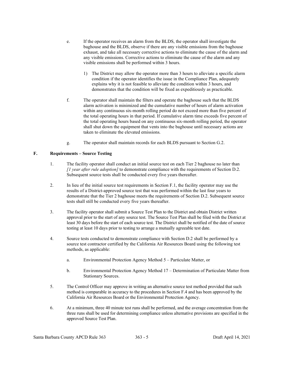- e. If the operator receives an alarm from the BLDS, the operator shall investigate the baghouse and the BLDS, observe if there are any visible emissions from the baghouse exhaust, and take all necessary corrective actions to eliminate the cause of the alarm and any visible emissions. Corrective actions to eliminate the cause of the alarm and any visible emissions shall be performed within 3 hours.
	- 1) The District may allow the operator more than 3 hours to alleviate a specific alarm condition if the operator identifies the issue in the Compliance Plan, adequately explains why it is not feasible to alleviate the condition within 3 hours, and demonstrates that the condition will be fixed as expeditiously as practicable.
- f. The operator shall maintain the filters and operate the baghouse such that the BLDS alarm activation is minimized and the cumulative number of hours of alarm activation within any continuous six-month rolling period do not exceed more than five percent of the total operating hours in that period. If cumulative alarm time exceeds five percent of the total operating hours based on any continuous six-month rolling period, the operator shall shut down the equipment that vents into the baghouse until necessary actions are taken to eliminate the elevated emissions.
- g. The operator shall maintain records for each BLDS pursuant to Section G.2.

# F. Requirements – Source Testing

- 1. The facility operator shall conduct an initial source test on each Tier 2 baghouse no later than  $\mu$  year after rule adoption) to demonstrate compliance with the requirements of Section D.2. Subsequent source tests shall be conducted every five years thereafter.
- 2. In lieu of the initial source test requirements in Section F.1, the facility operator may use the results of a District-approved source test that was performed within the last four years to demonstrate that the Tier 2 baghouse meets the requirements of Section D.2. Subsequent source tests shall still be conducted every five years thereafter.
- 3. The facility operator shall submit a Source Test Plan to the District and obtain District written approval prior to the start of any source test. The Source Test Plan shall be filed with the District at least 30 days before the start of each source test. The District shall be notified of the date of source testing at least 10 days prior to testing to arrange a mutually agreeable test date.
- 4. Source tests conducted to demonstrate compliance with Section D.2 shall be performed by a source test contractor certified by the California Air Resources Board using the following test methods, as applicable:
	- a. Environmental Protection Agency Method 5 Particulate Matter, or
	- b. Environmental Protection Agency Method 17 Determination of Particulate Matter from Stationary Sources.
- 5. The Control Officer may approve in writing an alternative source test method provided that such method is comparable in accuracy to the procedures in Section F.4 and has been approved by the California Air Resources Board or the Environmental Protection Agency.
- 6. At a minimum, three 40 minute test runs shall be performed, and the average concentration from the three runs shall be used for determining compliance unless alternative provisions are specified in the approved Source Test Plan.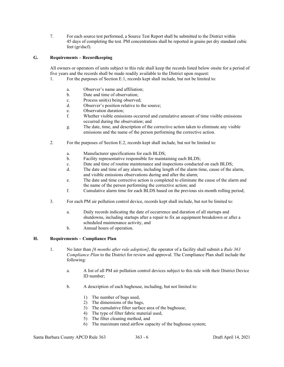7. For each source test performed, a Source Test Report shall be submitted to the District within 45 days of completing the test. PM concentrations shall be reported in grains per dry standard cubic feet (gr/dscf).

## G. Requirements – Recordkeeping

All owners or operators of units subject to this rule shall keep the records listed below onsite for a period of five years and the records shall be made readily available to the District upon request:

- 1. For the purposes of Section E.1, records kept shall include, but not be limited to:
	- a. Observer's name and affiliation;
	- b. Date and time of observation;
	- c. Process unit(s) being observed;
	- d. Observer's position relative to the source;
	- e. Observation duration;
	- f. Whether visible emissions occurred and cumulative amount of time visible emissions occurred during the observation; and
	- g. The date, time, and description of the corrective action taken to eliminate any visible emissions and the name of the person performing the corrective action.
- 2. For the purposes of Section E.2, records kept shall include, but not be limited to:
	- a. Manufacturer specifications for each BLDS;
	- b. Facility representative responsible for maintaining each BLDS;
	- c. Date and time of routine maintenance and inspections conducted on each BLDS;
	- d. The date and time of any alarm, including length of the alarm time, cause of the alarm, and visible emissions observations during and after the alarm;
	- e. The date and time corrective action is completed to eliminate the cause of the alarm and the name of the person performing the corrective action; and
	- f. Cumulative alarm time for each BLDS based on the previous six-month rolling period;
- 3. For each PM air pollution control device, records kept shall include, but not be limited to:
	- a. Daily records indicating the date of occurrence and duration of all startups and shutdowns, including startups after a repair to fix an equipment breakdown or after a scheduled maintenance activity, and
	- b. Annual hours of operation.

## H. Requirements – Compliance Plan

- 1. No later than [6 months after rule adoption], the operator of a facility shall submit a Rule 363 Compliance Plan to the District for review and approval. The Compliance Plan shall include the following:
	- a. A list of all PM air pollution control devices subject to this rule with their District Device ID number;
	- b. A description of each baghouse, including, but not limited to:
		- 1) The number of bags used,
		- 2) The dimensions of the bags,
		- 3) The cumulative filter surface area of the baghouse,
		- 4) The type of filter fabric material used,
		- 5) The filter cleaning method, and
		- 6) The maximum rated airflow capacity of the baghouse system;